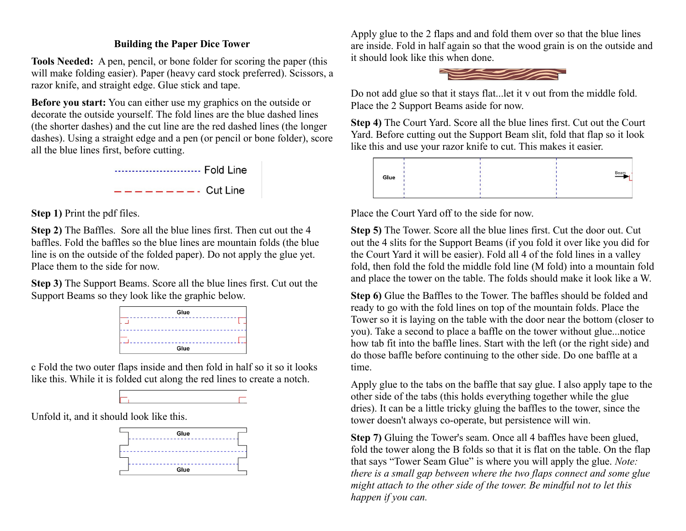## **Building the Paper Dice Tower**

**Tools Needed:** A pen, pencil, or bone folder for scoring the paper (this will make folding easier). Paper (heavy card stock preferred). Scissors, a razor knife, and straight edge. Glue stick and tape.

**Before you start:** You can either use my graphics on the outside or decorate the outside yourself. The fold lines are the blue dashed lines (the shorter dashes) and the cut line are the red dashed lines (the longer dashes). Using a straight edge and a pen (or pencil or bone folder), score all the blue lines first, before cutting.

> .......................... Fold Line  $---------$  Cut Line

**Step 1)** Print the pdf files.

**Step 2)** The Baffles. Sore all the blue lines first. Then cut out the 4 baffles. Fold the baffles so the blue lines are mountain folds (the blue line is on the outside of the folded paper). Do not apply the glue yet. Place them to the side for now.

**Step 3)** The Support Beams. Score all the blue lines first. Cut out the Support Beams so they look like the graphic below.



c Fold the two outer flaps inside and then fold in half so it so it looks like this. While it is folded cut along the red lines to create a notch.



Unfold it, and it should look like this.



Apply glue to the 2 flaps and and fold them over so that the blue lines are inside. Fold in half again so that the wood grain is on the outside and it should look like this when done.



Do not add glue so that it stays flat...let it v out from the middle fold. Place the 2 Support Beams aside for now.

**Step 4)** The Court Yard. Score all the blue lines first. Cut out the Court Yard. Before cutting out the Support Beam slit, fold that flap so it look like this and use your razor knife to cut. This makes it easier.

|--|

Place the Court Yard off to the side for now.

**Step 5)** The Tower. Score all the blue lines first. Cut the door out. Cut out the 4 slits for the Support Beams (if you fold it over like you did for the Court Yard it will be easier). Fold all 4 of the fold lines in a valley fold, then fold the fold the middle fold line (M fold) into a mountain fold and place the tower on the table. The folds should make it look like a W.

**Step 6)** Glue the Baffles to the Tower. The baffles should be folded and ready to go with the fold lines on top of the mountain folds. Place the Tower so it is laying on the table with the door near the bottom (closer to you). Take a second to place a baffle on the tower without glue...notice how tab fit into the baffle lines. Start with the left (or the right side) and do those baffle before continuing to the other side. Do one baffle at a time.

Apply glue to the tabs on the baffle that say glue. I also apply tape to the other side of the tabs (this holds everything together while the glue dries). It can be a little tricky gluing the baffles to the tower, since the tower doesn't always co-operate, but persistence will win.

**Step 7)** Gluing the Tower's seam. Once all 4 baffles have been glued, fold the tower along the B folds so that it is flat on the table. On the flap that says "Tower Seam Glue" is where you will apply the glue. *Note: there is a small gap between where the two flaps connect and some glue might attach to the other side of the tower. Be mindful not to let this happen if you can.*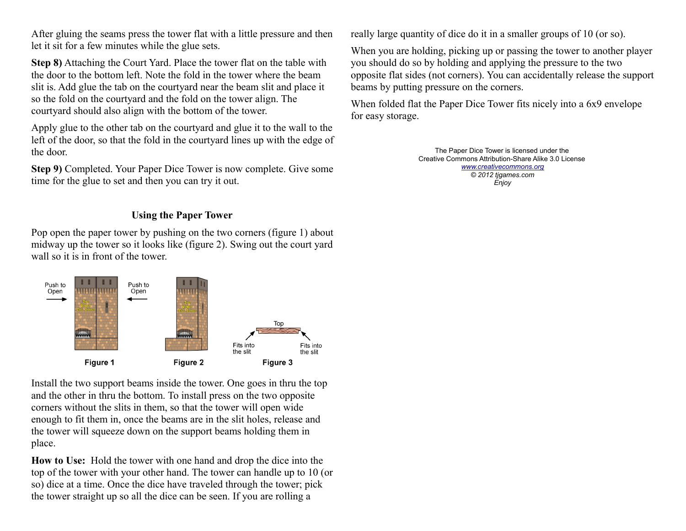After gluing the seams press the tower flat with a little pressure and then let it sit for a few minutes while the glue sets.

**Step 8)** Attaching the Court Yard. Place the tower flat on the table with the door to the bottom left. Note the fold in the tower where the beam slit is. Add glue the tab on the courtyard near the beam slit and place it so the fold on the courtyard and the fold on the tower align. The courtyard should also align with the bottom of the tower.

Apply glue to the other tab on the courtyard and glue it to the wall to the left of the door, so that the fold in the courtyard lines up with the edge of the door.

**Step 9)** Completed. Your Paper Dice Tower is now complete. Give some time for the glue to set and then you can try it out.

## **Using the Paper Tower**

Pop open the paper tower by pushing on the two corners (figure 1) about midway up the tower so it looks like (figure 2). Swing out the court yard wall so it is in front of the tower.



Install the two support beams inside the tower. One goes in thru the top and the other in thru the bottom. To install press on the two opposite corners without the slits in them, so that the tower will open wide enough to fit them in, once the beams are in the slit holes, release and the tower will squeeze down on the support beams holding them in place.

**How to Use:** Hold the tower with one hand and drop the dice into the top of the tower with your other hand. The tower can handle up to 10 (or so) dice at a time. Once the dice have traveled through the tower; pick the tower straight up so all the dice can be seen. If you are rolling a

really large quantity of dice do it in a smaller groups of 10 (or so).

When you are holding, picking up or passing the tower to another player you should do so by holding and applying the pressure to the two opposite flat sides (not corners). You can accidentally release the support beams by putting pressure on the corners.

When folded flat the Paper Dice Tower fits nicely into a 6x9 envelope for easy storage.

> The Paper Dice Tower is licensed under the Creative Commons Attribution-Share Alike 3.0 License *[www.creativecommons.org](http://www.creativecommons.org/) © 2012 tjgames.com Enjoy*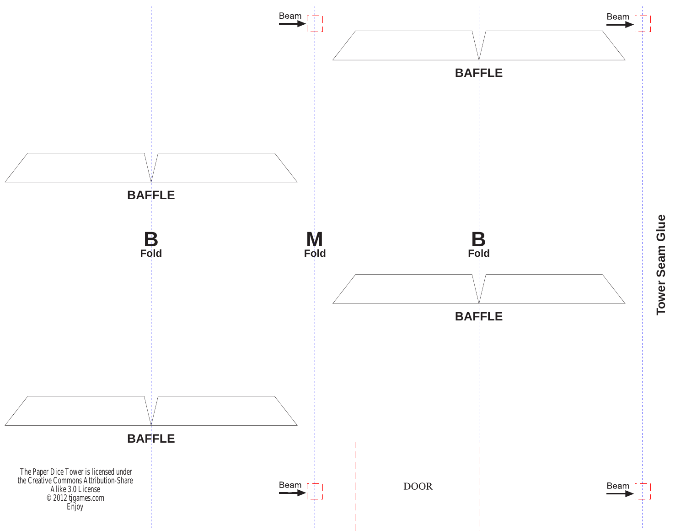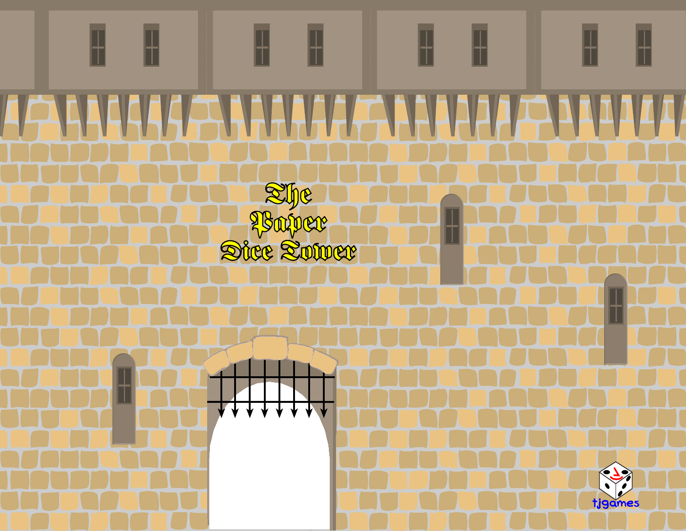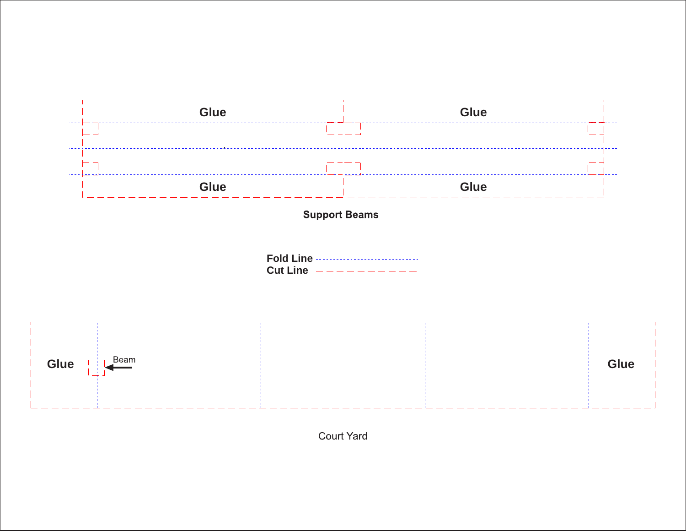

**Court Yard**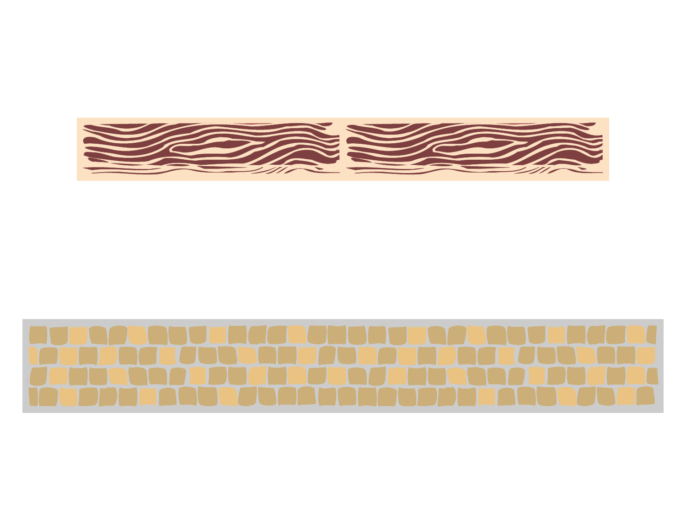